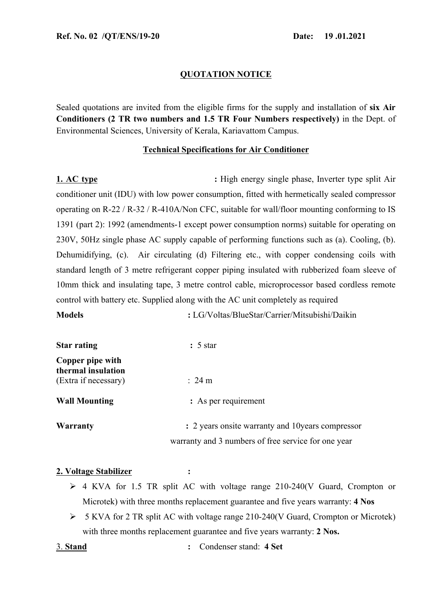## **QUOTATION NOTICE**

Sealed quotations are invited from the eligible firms for the supply and installation of **six Air Conditioners (2 TR two numbers and 1.5 TR Four Numbers respectively)** in the Dept. of Environmental Sciences, University of Kerala, Kariavattom Campus.

## **Technical Specifications for Air Conditioner**

**1. AC type :** High energy single phase, Inverter type split Air conditioner unit (IDU) with low power consumption, fitted with hermetically sealed compressor operating on R-22 / R-32 / R-410A/Non CFC, suitable for wall/floor mounting conforming to IS 1391 (part 2): 1992 (amendments-1 except power consumption norms) suitable for operating on 230V, 50Hz single phase AC supply capable of performing functions such as (a). Cooling, (b). Dehumidifying, (c). Air circulating (d) Filtering etc., with copper condensing coils with standard length of 3 metre refrigerant copper piping insulated with rubberized foam sleeve of 10mm thick and insulating tape, 3 metre control cable, microprocessor based cordless remote control with battery etc. Supplied along with the AC unit completely as required

**Models :** LG/Voltas/BlueStar/Carrier/Mitsubishi/Daikin

| <b>Star rating</b>                     | $: 5 \text{ star}$                                  |
|----------------------------------------|-----------------------------------------------------|
| Copper pipe with<br>thermal insulation |                                                     |
| (Extra if necessary)                   | $\therefore$ 24 m                                   |
| <b>Wall Mounting</b>                   | : As per requirement                                |
| <b>Warranty</b>                        | : 2 years onsite warranty and 10 years compressor   |
|                                        | warranty and 3 numbers of free service for one year |

## **2. Voltage Stabilizer :**

- 4 KVA for 1.5 TR split AC with voltage range 210-240(V Guard, Crompton or Microtek) with three months replacement guarantee and five years warranty: **4 Nos**
- 5 KVA for 2 TR split AC with voltage range 210-240(V Guard, Crompton or Microtek) with three months replacement guarantee and five years warranty: **2 Nos.**
- 3. **Stand :** Condenser stand: **4 Set**